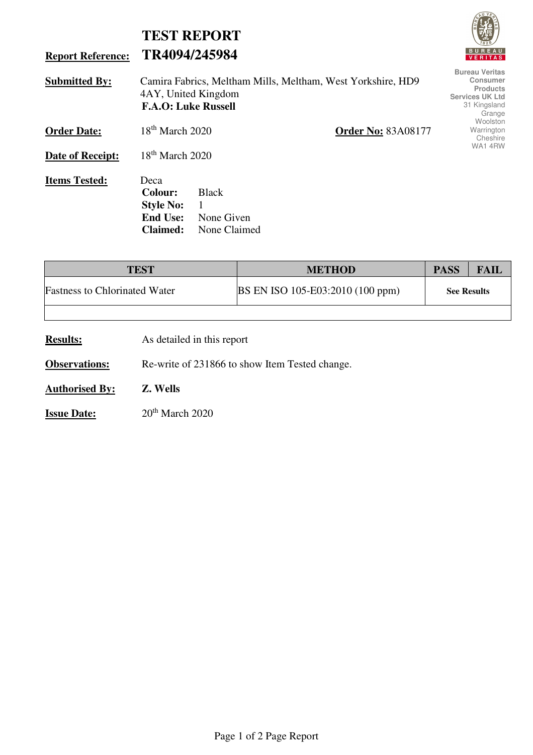|                          |                                                                                                                  | <b>TEST REPORT</b>                                                                                              |                           | <b>vyjs</b>                        |  |  |
|--------------------------|------------------------------------------------------------------------------------------------------------------|-----------------------------------------------------------------------------------------------------------------|---------------------------|------------------------------------|--|--|
| <b>Report Reference:</b> | TR4094/245984                                                                                                    |                                                                                                                 |                           | <b>BUREAU</b><br><b>VERITAS</b>    |  |  |
| <b>Submitted By:</b>     | Camira Fabrics, Meltham Mills, Meltham, West Yorkshire, HD9<br>4AY, United Kingdom<br><b>F.A.O: Luke Russell</b> | <b>Bureau Veritas</b><br><b>Consumer</b><br><b>Products</b><br><b>Services UK Ltd</b><br>31 Kingsland<br>Grange |                           |                                    |  |  |
| <b>Order Date:</b>       | $18th$ March 2020                                                                                                |                                                                                                                 | <b>Order No: 83A08177</b> | Woolston<br>Warrington<br>Cheshire |  |  |
| Date of Receipt:         | WA14RW<br>$18th$ March 2020                                                                                      |                                                                                                                 |                           |                                    |  |  |
| <b>Items Tested:</b>     | Deca<br><b>Colour:</b><br><b>Style No:</b><br><b>End Use:</b><br><b>Claimed:</b>                                 | <b>Black</b><br>1<br>None Given<br>None Claimed                                                                 |                           |                                    |  |  |

| <b>TEST</b>                          | <b>METHOD</b>                    | <b>PASS</b>        | FAIL |
|--------------------------------------|----------------------------------|--------------------|------|
| <b>Fastness to Chlorinated Water</b> | BS EN ISO 105-E03:2010 (100 ppm) | <b>See Results</b> |      |
|                                      |                                  |                    |      |

**Results:** As detailed in this report

**Observations:** Re-write of 231866 to show Item Tested change.

**Authorised By: Z. Wells**

**Issue Date:** 20<sup>th</sup> March 2020